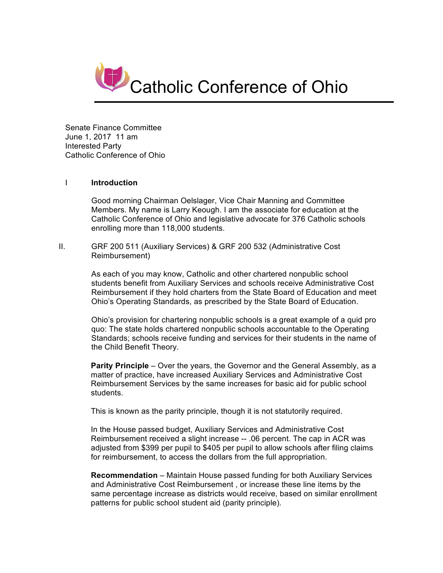

Senate Finance Committee June 1, 2017 11 am Interested Party Catholic Conference of Ohio

## I **Introduction**

Good morning Chairman Oelslager, Vice Chair Manning and Committee Members. My name is Larry Keough. I am the associate for education at the Catholic Conference of Ohio and legislative advocate for 376 Catholic schools enrolling more than 118,000 students.

II. GRF 200 511 (Auxiliary Services) & GRF 200 532 (Administrative Cost Reimbursement)

> As each of you may know, Catholic and other chartered nonpublic school students benefit from Auxiliary Services and schools receive Administrative Cost Reimbursement if they hold charters from the State Board of Education and meet Ohio's Operating Standards, as prescribed by the State Board of Education.

> Ohio's provision for chartering nonpublic schools is a great example of a quid pro quo: The state holds chartered nonpublic schools accountable to the Operating Standards; schools receive funding and services for their students in the name of the Child Benefit Theory.

> **Parity Principle** – Over the years, the Governor and the General Assembly, as a matter of practice, have increased Auxiliary Services and Administrative Cost Reimbursement Services by the same increases for basic aid for public school students.

This is known as the parity principle, though it is not statutorily required.

In the House passed budget, Auxiliary Services and Administrative Cost Reimbursement received a slight increase -- .06 percent. The cap in ACR was adjusted from \$399 per pupil to \$405 per pupil to allow schools after filing claims for reimbursement, to access the dollars from the full appropriation.

**Recommendation** – Maintain House passed funding for both Auxiliary Services and Administrative Cost Reimbursement , or increase these line items by the same percentage increase as districts would receive, based on similar enrollment patterns for public school student aid (parity principle).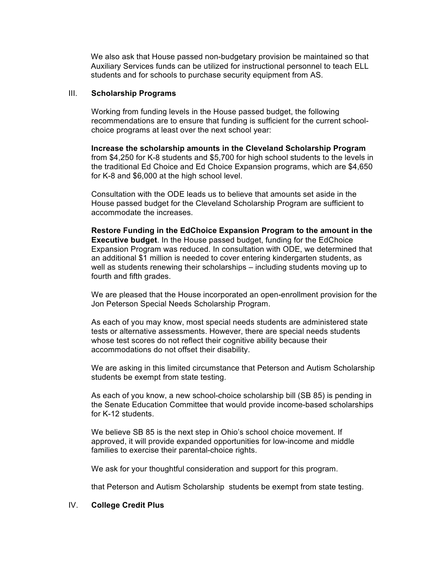We also ask that House passed non-budgetary provision be maintained so that Auxiliary Services funds can be utilized for instructional personnel to teach ELL students and for schools to purchase security equipment from AS.

## III. **Scholarship Programs**

Working from funding levels in the House passed budget, the following recommendations are to ensure that funding is sufficient for the current schoolchoice programs at least over the next school year:

**Increase the scholarship amounts in the Cleveland Scholarship Program** from \$4,250 for K-8 students and \$5,700 for high school students to the levels in the traditional Ed Choice and Ed Choice Expansion programs, which are \$4,650 for K-8 and \$6,000 at the high school level.

Consultation with the ODE leads us to believe that amounts set aside in the House passed budget for the Cleveland Scholarship Program are sufficient to accommodate the increases.

**Restore Funding in the EdChoice Expansion Program to the amount in the Executive budget**. In the House passed budget, funding for the EdChoice Expansion Program was reduced. In consultation with ODE, we determined that an additional \$1 million is needed to cover entering kindergarten students, as well as students renewing their scholarships – including students moving up to fourth and fifth grades.

We are pleased that the House incorporated an open-enrollment provision for the Jon Peterson Special Needs Scholarship Program.

As each of you may know, most special needs students are administered state tests or alternative assessments. However, there are special needs students whose test scores do not reflect their cognitive ability because their accommodations do not offset their disability.

We are asking in this limited circumstance that Peterson and Autism Scholarship students be exempt from state testing.

As each of you know, a new school-choice scholarship bill (SB 85) is pending in the Senate Education Committee that would provide income-based scholarships for K-12 students.

We believe SB 85 is the next step in Ohio's school choice movement. If approved, it will provide expanded opportunities for low-income and middle families to exercise their parental-choice rights.

We ask for your thoughtful consideration and support for this program.

that Peterson and Autism Scholarship students be exempt from state testing.

## IV. **College Credit Plus**